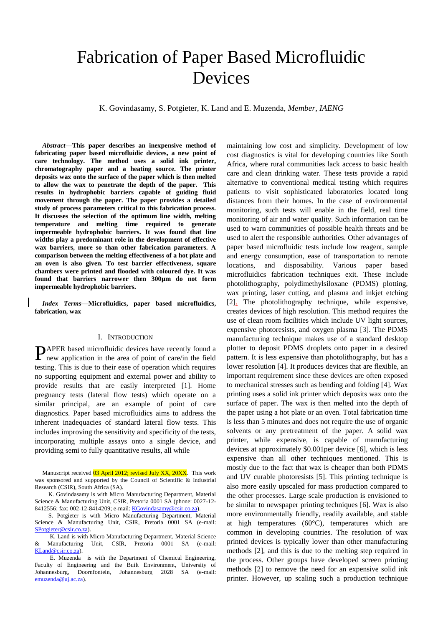# Fabrication of Paper Based Microfluidic Devices

K. Govindasamy, S. Potgieter, K. Land and E. Muzenda, *Member, IAENG*

*Abstract***—This paper describes an inexpensive method of fabricating paper based microfluidic devices, a new point of care technology. The method uses a solid ink printer, chromatography paper and a heating source. The printer deposits wax onto the surface of the paper which is then melted to allow the wax to penetrate the depth of the paper. This results in hydrophobic barriers capable of guiding fluid movement through the paper. The paper provides a detailed study of process parameters critical to this fabrication process. It discusses the selection of the optimum line width, melting temperature and melting time required to generate impermeable hydrophobic barriers. It was found that line widths play a predominant role in the development of effective wax barriers, more so than other fabrication parameters. A comparison between the melting effectiveness of a hot plate and an oven is also given. To test barrier effectiveness, square chambers were printed and flooded with coloured dye. It was found that barriers narrower then 300µm do not form impermeable hydrophobic barriers.** 

*Index Terms***—Microfluidics, paper based microfluidics, fabrication, wax**

## I. INTRODUCTION

PAPER based microfluidic devices have recently found a new application in the area of point of care/in the field new application in the area of point of care/in the field testing. This is due to their ease of operation which requires no supporting equipment and external power and ability to provide results that are easily interpreted [1]. Home pregnancy tests (lateral flow tests) which operate on a similar principal, are an example of point of care diagnostics. Paper based microfluidics aims to address the inherent inadequacies of standard lateral flow tests. This includes improving the sensitivity and specificity of the tests, incorporating multiple assays onto a single device, and providing semi to fully quantitative results, all while

 S. Potgieter is with Micro Manufacturing Department, Material Science & Manufacturing Unit, CSIR, Pretoria 0001 SA (e-mail: [SPotgieter@csir.co.za\)](mailto:SPotgieter@csir.co.za).

 K. Land is with Micro Manufacturing Department, Material Science & Manufacturing Unit, CSIR, Pretoria 0001 SA (e-mail: [KLand@csir.co.za\)](mailto:KLand@csir.co.za).

 E. Muzenda is with the Department of Chemical Engineering, Faculty of Engineering and the Built Environment, University of Johannesburg, Doornfontein, Johannesburg 2028 SA (e-mail: [emuzenda@uj.ac.za\)](mailto:emuzenda@uj.ac.za).

maintaining low cost and simplicity. Development of low cost diagnostics is vital for developing countries like South Africa, where rural communities lack access to basic health care and clean drinking water. These tests provide a rapid alternative to conventional medical testing which requires patients to visit sophisticated laboratories located long distances from their homes. In the case of environmental monitoring, such tests will enable in the field, real time monitoring of air and water quality. Such information can be used to warn communities of possible health threats and be used to alert the responsible authorities. Other advantages of paper based microfluidic tests include low reagent, sample and energy consumption, ease of transportation to remote locations, and disposability. Various paper based microfluidics fabrication techniques exit. These include photolithography, polydimethylsiloxane (PDMS) plotting, wax printing, laser cutting, and plasma and inkjet etching [2]. The photolithography technique, while expensive, creates devices of high resolution. This method requires the use of clean room facilities which include UV light sources, expensive photoresists, and oxygen plasma [3]. The PDMS manufacturing technique makes use of a standard desktop plotter to deposit PDMS droplets onto paper in a desired pattern. It is less expensive than photolithography, but has a lower resolution [4]. It produces devices that are flexible, an important requirement since these devices are often exposed to mechanical stresses such as bending and folding [4]. Wax printing uses a solid ink printer which deposits wax onto the surface of paper. The wax is then melted into the depth of the paper using a hot plate or an oven. Total fabrication time is less than 5 minutes and does not require the use of organic solvents or any pretreatment of the paper. A solid wax printer, while expensive, is capable of manufacturing devices at approximately \$0.001per device [6], which is less expensive than all other techniques mentioned. This is mostly due to the fact that wax is cheaper than both PDMS and UV curable photoresists [5]. This printing technique is also more easily upscaled for mass production compared to the other processes. Large scale production is envisioned to be similar to newspaper printing techniques [6]. Wax is also more environmentally friendly, readily available, and stable at high temperatures (60°C), temperatures which are common in developing countries. The resolution of wax printed devices is typically lower than other manufacturing methods [2], and this is due to the melting step required in the process. Other groups have developed screen printing methods [2] to remove the need for an expensive solid ink printer. However, up scaling such a production technique

Manuscript received 03 April 2012; revised July XX, 20XX. This work was sponsored and supported by the Council of Scientific & Industrial Research (CSIR), South Africa (SA).

K. Govindasamy is with Micro Manufacturing Department, Material Science & Manufacturing Unit, CSIR, Pretoria 0001 SA (phone: 0027-12- 8412556; fax: 002-12-8414209; e-mail[: KGovindasamy@csir.co.za\)](mailto:KGovindasamy@csir.co.za).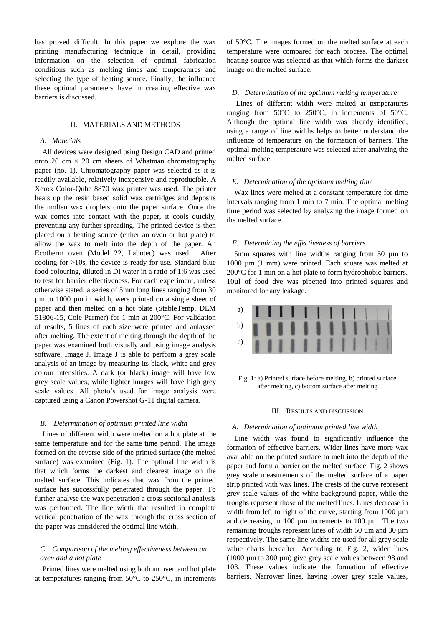has proved difficult. In this paper we explore the wax printing manufacturing technique in detail, providing information on the selection of optimal fabrication conditions such as melting times and temperatures and selecting the type of heating source. Finally, the influence these optimal parameters have in creating effective wax barriers is discussed.

## II. MATERIALS AND METHODS

#### *A. Materials*

All devices were designed using Design CAD and printed onto 20 cm  $\times$  20 cm sheets of Whatman chromatography paper (no. 1). Chromatography paper was selected as it is readily available, relatively inexpensive and reproducible. A Xerox Color-Qube 8870 wax printer was used. The printer heats up the resin based solid wax cartridges and deposits the molten wax droplets onto the paper surface. Once the wax comes into contact with the paper, it cools quickly, preventing any further spreading. The printed device is then placed on a heating source (either an oven or hot plate) to allow the wax to melt into the depth of the paper. An Ecotherm oven (Model 22, Labotec) was used. After cooling for >10s, the device is ready for use. Standard blue food colouring, diluted in DI water in a ratio of 1:6 was used to test for barrier effectiveness. For each experiment, unless otherwise stated, a series of 5mm long lines ranging from 30 µm to 1000 µm in width, were printed on a single sheet of paper and then melted on a hot plate (StableTemp, DLM 51806-15, Cole Parmer) for 1 min at 200°C. For validation of results, 5 lines of each size were printed and anlaysed after melting. The extent of melting through the depth of the paper was examined both visually and using image analysis software, Image J. Image J is able to perform a grey scale analysis of an image by measuring its black, white and grey colour intensities. A dark (or black) image will have low grey scale values, while lighter images will have high grey scale values. All photo's used for image analysis were captured using a Canon Powershot G-11 digital camera.

#### *B. Determination of optimum printed line width*

Lines of different width were melted on a hot plate at the same temperature and for the same time period. The image formed on the reverse side of the printed surface (the melted surface) was examined (Fig. 1). The optimal line width is that which forms the darkest and clearest image on the melted surface. This indicates that wax from the printed surface has successfully penetrated through the paper. To further analyse the wax penetration a cross sectional analysis was performed. The line width that resulted in complete vertical penetration of the wax through the cross section of the paper was considered the optimal line width.

## *C. Comparison of the melting effectiveness between an oven and a hot plate*

Printed lines were melted using both an oven and hot plate at temperatures ranging from 50°C to 250°C, in increments of 50°C. The images formed on the melted surface at each temperature were compared for each process. The optimal heating source was selected as that which forms the darkest image on the melted surface.

## *D. Determination of the optimum melting temperature*

Lines of different width were melted at temperatures ranging from 50°C to 250°C, in increments of 50°C. Although the optimal line width was already identified, using a range of line widths helps to better understand the influence of temperature on the formation of barriers. The optimal melting temperature was selected after analyzing the melted surface.

#### *E. Determination of the optimum melting time*

Wax lines were melted at a constant temperature for time intervals ranging from 1 min to 7 min. The optimal melting time period was selected by analyzing the image formed on the melted surface.

### *F. Determining the effectiveness of barriers*

5mm squares with line widths ranging from 50 µm to 1000 µm (1 mm) were printed. Each square was melted at 200°C for 1 min on a hot plate to form hydrophobic barriers. 10µl of food dye was pipetted into printed squares and monitored for any leakage.



Fig. 1: a) Printed surface before melting, b) printed surface after melting, c) bottom surface after melting

## III. RESULTS AND DISCUSSION

#### *A. Determination of optimum printed line width*

Line width was found to significantly influence the formation of effective barriers. Wider lines have more wax available on the printed surface to melt into the depth of the paper and form a barrier on the melted surface. Fig. 2 shows grey scale measurements of the melted surface of a paper strip printed with wax lines. The crests of the curve represent grey scale values of the white background paper, while the troughs represent those of the melted lines. Lines decrease in width from left to right of the curve, starting from 1000  $\mu$ m and decreasing in 100 µm increments to 100 µm. The two remaining troughs represent lines of width 50 µm and 30 µm respectively. The same line widths are used for all grey scale value charts hereafter. According to Fig. 2, wider lines (1000 µm to 300 µm) give grey scale values between 98 and 103. These values indicate the formation of effective barriers. Narrower lines, having lower grey scale values,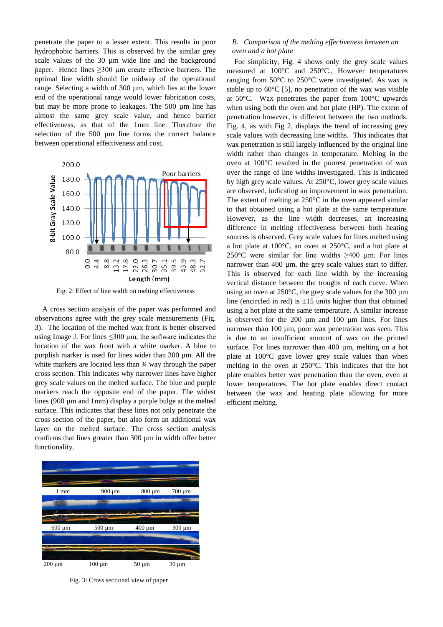penetrate the paper to a lesser extent. This results in poor hydrophobic barriers. This is observed by the similar grey scale values of the 30 µm wide line and the background paper. Hence lines  $\geq 300$  µm create effective barriers. The optimal line width should lie midway of the operational range. Selecting a width of 300 µm, which lies at the lower end of the operational range would lower fabrication costs, but may be more prone to leakages. The 500 µm line has almost the same grey scale value, and hence barrier effectiveness, as that of the 1mm line. Therefore the selection of the 500 µm line forms the correct balance between operational effectiveness and cost.



Fig. 2: Effect of line width on melting effectiveness

A cross section analysis of the paper was performed and observations agree with the grey scale measurements (Fig. 3). The location of the melted wax front is better observed using Image J. For lines  $\leq 300 \mu m$ , the software indicates the location of the wax front with a white marker. A blue to purplish marker is used for lines wider than 300 um. All the white markers are located less than  $\frac{3}{4}$  way through the paper cross section. This indicates why narrower lines have higher grey scale values on the melted surface. The blue and purple markers reach the opposite end of the paper. The widest lines (900 µm and 1mm) display a purple bulge at the melted surface. This indicates that these lines not only penetrate the cross section of the paper, but also form an additional wax layer on the melted surface. The cross section analysis confirms that lines greater than 300 µm in width offer better functionality.



Fig. 3: Cross sectional view of paper

## *B. Comparison of the melting effectiveness between an oven and a hot plate*

For simplicity, Fig. 4 shows only the grey scale values measured at 100°C and 250°C., However temperatures ranging from 50°C to 250°C were investigated. As wax is stable up to  $60^{\circ}$ C [5], no penetration of the wax was visible at 50°C. Wax penetrates the paper from 100°C upwards when using both the oven and hot plate (HP). The extent of penetration however, is different between the two methods. Fig. 4, as with Fig 2, displays the trend of increasing grey scale values with decreasing line widths. This indicates that wax penetration is still largely influenced by the original line width rather than changes in temperature. Melting in the oven at 100°C resulted in the poorest penetration of wax over the range of line widths investigated. This is indicated by high grey scale values. At 250°C, lower grey scale values are observed, indicating an improvement in wax penetration. The extent of melting at 250°C in the oven appeared similar to that obtained using a hot plate at the same temperature. However, as the line width decreases, an increasing difference in melting effectiveness between both heating sources is observed. Grey scale values for lines melted using a hot plate at 100°C, an oven at 250°C, and a hot plate at 250°C were similar for line widths  $\geq 400$  µm. For lines narrower than 400 µm, the grey scale values start to differ. This is observed for each line width by the increasing vertical distance between the troughs of each curve. When using an oven at  $250^{\circ}$ C, the grey scale values for the 300 µm line (encircled in red) is  $\pm 15$  units higher than that obtained using a hot plate at the same temperature. A similar increase is observed for the 200 µm and 100 µm lines. For lines narrower than 100 µm, poor wax penetration was seen. This is due to an insufficient amount of wax on the printed surface. For lines narrower than 400 um, melting on a hot plate at 100°C gave lower grey scale values than when melting in the oven at 250°C. This indicates that the hot plate enables better wax penetration than the oven, even at lower temperatures. The hot plate enables direct contact between the wax and heating plate allowing for more efficient melting.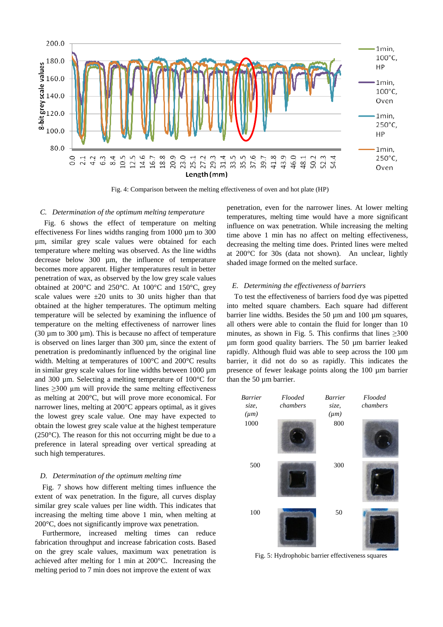

Fig. 4: Comparison between the melting effectiveness of oven and hot plate (HP)

#### *C. Determination of the optimum melting temperature*

Fig. 6 shows the effect of temperature on melting effectiveness For lines widths ranging from 1000 µm to 300 µm, similar grey scale values were obtained for each temperature where melting was observed. As the line widths decrease below 300 µm, the influence of temperature becomes more apparent. Higher temperatures result in better penetration of wax, as observed by the low grey scale values obtained at 200°C and 250°C. At 100°C and 150°C, grey scale values were  $\pm 20$  units to 30 units higher than that obtained at the higher temperatures. The optimum melting temperature will be selected by examining the influence of temperature on the melting effectiveness of narrower lines (30 µm to 300 µm). This is because no affect of temperature is observed on lines larger than 300 µm, since the extent of penetration is predominantly influenced by the original line width. Melting at temperatures of 100°C and 200°C results in similar grey scale values for line widths between 1000 µm and 300 µm. Selecting a melting temperature of 100°C for lines  $\geq$ 300 µm will provide the same melting effectiveness as melting at 200°C, but will prove more economical. For narrower lines, melting at 200°C appears optimal, as it gives the lowest grey scale value. One may have expected to obtain the lowest grey scale value at the highest temperature (250°C). The reason for this not occurring might be due to a preference in lateral spreading over vertical spreading at such high temperatures.

#### *D. Determination of the optimum melting time*

Fig. 7 shows how different melting times influence the extent of wax penetration. In the figure, all curves display similar grey scale values per line width. This indicates that increasing the melting time above 1 min, when melting at 200°C, does not significantly improve wax penetration.

Furthermore, increased melting times can reduce fabrication throughput and increase fabrication costs. Based on the grey scale values, maximum wax penetration is achieved after melting for 1 min at 200°C. Increasing the melting period to 7 min does not improve the extent of wax

penetration, even for the narrower lines. At lower melting temperatures, melting time would have a more significant influence on wax penetration. While increasing the melting time above 1 min has no affect on melting effectiveness, decreasing the melting time does. Printed lines were melted at 200°C for 30s (data not shown). An unclear, lightly shaded image formed on the melted surface.

#### *E. Determining the effectiveness of barriers*

To test the effectiveness of barriers food dye was pipetted into melted square chambers. Each square had different barrier line widths. Besides the 50 µm and 100 µm squares, all others were able to contain the fluid for longer than 10 minutes, as shown in Fig. 5. This confirms that lines  $\geq 300$ µm form good quality barriers. The 50 µm barrier leaked rapidly. Although fluid was able to seep across the 100 µm barrier, it did not do so as rapidly. This indicates the presence of fewer leakage points along the 100 µm barrier than the 50 µm barrier.



Fig. 5: Hydrophobic barrier effectiveness squares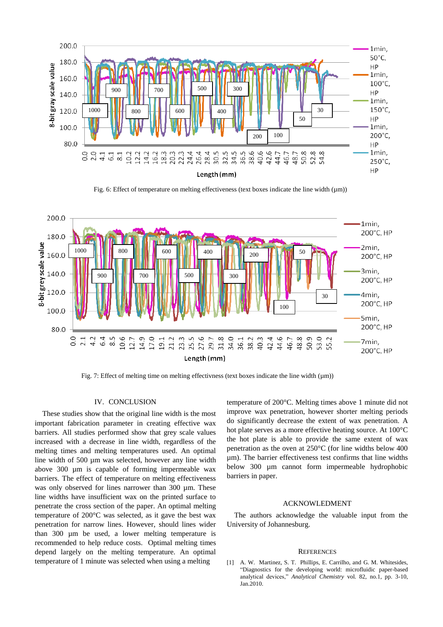

Fig. 6: Effect of temperature on melting effectiveness (text boxes indicate the line width  $(\mu m)$ )



Fig. 7: Effect of melting time on melting effectivness (text boxes indicate the line width  $(\mu m)$ )

## IV. CONCLUSION

These studies show that the original line width is the most important fabrication parameter in creating effective wax barriers. All studies performed show that grey scale values increased with a decrease in line width, regardless of the melting times and melting temperatures used. An optimal line width of 500 µm was selected, however any line width above 300 µm is capable of forming impermeable wax barriers. The effect of temperature on melting effectiveness was only observed for lines narrower than 300 µm. These line widths have insufficient wax on the printed surface to penetrate the cross section of the paper. An optimal melting temperature of 200°C was selected, as it gave the best wax penetration for narrow lines. However, should lines wider than 300 µm be used, a lower melting temperature is recommended to help reduce costs. Optimal melting times depend largely on the melting temperature. An optimal temperature of 1 minute was selected when using a melting

temperature of 200°C. Melting times above 1 minute did not improve wax penetration, however shorter melting periods do significantly decrease the extent of wax penetration. A hot plate serves as a more effective heating source. At 100°C the hot plate is able to provide the same extent of wax penetration as the oven at 250°C (for line widths below 400 µm). The barrier effectiveness test confirms that line widths below 300 µm cannot form impermeable hydrophobic barriers in paper.

#### ACKNOWLEDMENT

The authors acknowledge the valuable input from the University of Johannesburg.

### **REFERENCES**

[1] A. W. Martinez, S. T. Phillips, E. Carrilho, and G. M. Whitesides, "Diagnostics for the developing world: microfluidic paper-based analytical devices," *Analytical Chemistry* vol. 82, no.1, pp. 3-10, Jan.2010.